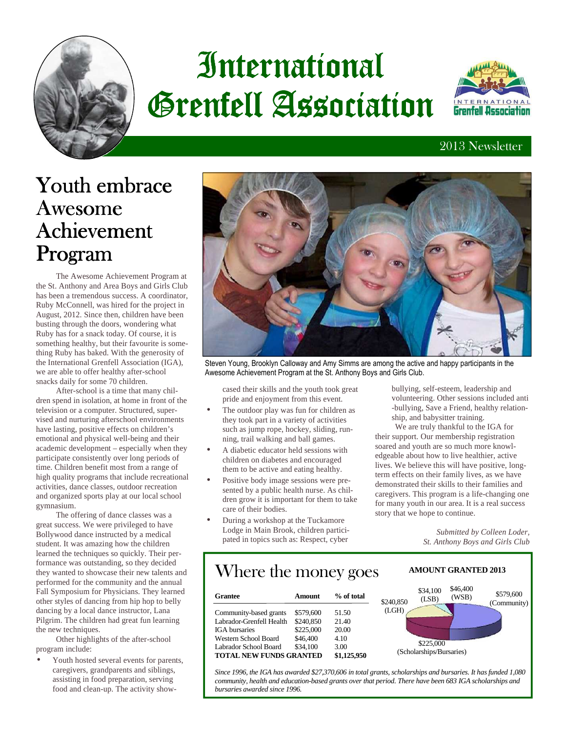

# **International** Grenfell Association



#### 2013 Newsletter

## Youth embrace Awesome Achievement Program

 The Awesome Achievement Program at the St. Anthony and Area Boys and Girls Club has been a tremendous success. A coordinator, Ruby McConnell, was hired for the project in August, 2012. Since then, children have been busting through the doors, wondering what Ruby has for a snack today. Of course, it is something healthy, but their favourite is something Ruby has baked. With the generosity of the International Grenfell Association (IGA), we are able to offer healthy after-school snacks daily for some 70 children.

 After-school is a time that many children spend in isolation, at home in front of the television or a computer. Structured, supervised and nurturing afterschool environments have lasting, positive effects on children's emotional and physical well-being and their academic development – especially when they participate consistently over long periods of time. Children benefit most from a range of high quality programs that include recreational activities, dance classes, outdoor recreation and organized sports play at our local school gymnasium.

 The offering of dance classes was a great success. We were privileged to have Bollywood dance instructed by a medical student. It was amazing how the children learned the techniques so quickly. Their performance was outstanding, so they decided they wanted to showcase their new talents and performed for the community and the annual Fall Symposium for Physicians. They learned other styles of dancing from hip hop to belly dancing by a local dance instructor, Lana Pilgrim. The children had great fun learning the new techniques.

 Other highlights of the after-school program include:

Youth hosted several events for parents, caregivers, grandparents and siblings, assisting in food preparation, serving food and clean-up. The activity show-



Steven Young, Brooklyn Calloway and Amy Simms are among the active and happy participants in the Awesome Achievement Program at the St. Anthony Boys and Girls Club.

cased their skills and the youth took great pride and enjoyment from this event.

- The outdoor play was fun for children as they took part in a variety of activities such as jump rope, hockey, sliding, running, trail walking and ball games.
- A diabetic educator held sessions with children on diabetes and encouraged them to be active and eating healthy.
- Positive body image sessions were presented by a public health nurse. As children grow it is important for them to take care of their bodies.
- During a workshop at the Tuckamore Lodge in Main Brook, children participated in topics such as: Respect, cyber

bullying, self-esteem, leadership and volunteering. Other sessions included anti -bullying, Save a Friend, healthy relationship, and babysitter training.

 We are truly thankful to the IGA for their support. Our membership registration soared and youth are so much more knowledgeable about how to live healthier, active lives. We believe this will have positive, longterm effects on their family lives, as we have demonstrated their skills to their families and caregivers. This program is a life-changing one for many youth in our area. It is a real success story that we hope to continue.

> *Submitted by Colleen Loder, St. Anthony Boys and Girls Club*

> > \$579,600 (Community)

 $44.400$ 

**AMOUNT GRANTED 2013** 

### Where the money goes

| Grantee                  | Amount    | % of total  | \$46,400<br>\$34,100<br>(WSB)<br>(LSB)<br>\$240,850 |
|--------------------------|-----------|-------------|-----------------------------------------------------|
| Community-based grants   | \$579,600 | 51.50       | (LGH)                                               |
| Labrador-Grenfell Health | \$240,850 | 21.40       |                                                     |
| IGA bursaries            | \$225,000 | 20.00       |                                                     |
| Western School Board     | \$46,400  | 4.10        |                                                     |
| Labrador School Board    | \$34,100  | 3.00        | \$225,000                                           |
| TOTAL NEW FUNDS GRANTED  |           | \$1,125,950 | (Scholarships/Bursaries)                            |

*Since 1996, the IGA has awarded \$27,370,606 in total grants, scholarships and bursaries. It has funded 1,080 community, health and education-based grants over that period. There have been 683 IGA scholarships and bursaries awarded since 1996.*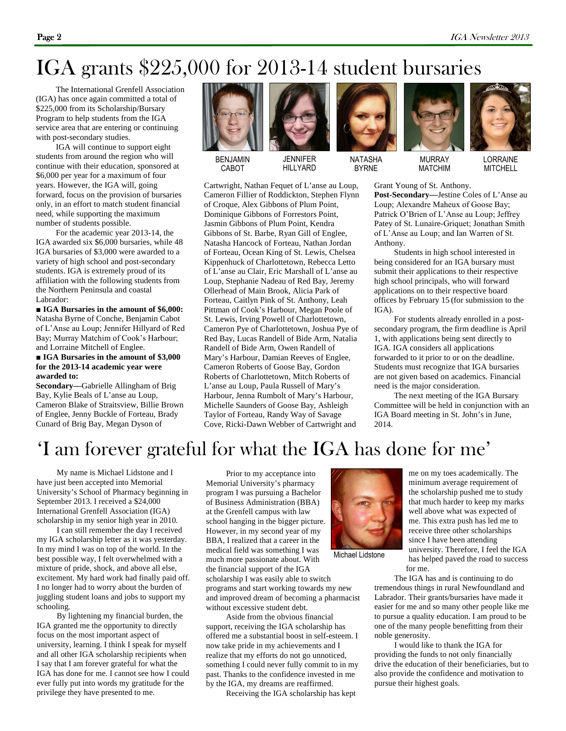## IGA grants \$225,000 for 2013-14 student bursaries

 The International Grenfell Association (IGA) has once again committed a total of \$225,000 from its Scholarship/Bursary Program to help students from the IGA service area that are entering or continuing with post-secondary studies.

 IGA will continue to support eight students from around the region who will continue with their education, sponsored at \$6,000 per year for a maximum of four years. However, the IGA will, going forward, focus on the provision of bursaries only, in an effort to match student financial need, while supporting the maximum number of students possible.

 For the academic year 2013-14, the IGA awarded six \$6,000 bursaries, while 48 IGA bursaries of \$3,000 were awarded to a variety of high school and post-secondary students. IGA is extremely proud of its affiliation with the following students from the Northern Peninsula and coastal Labrador:

■ **IGA Bursaries in the amount of \$6,000:** Natasha Byrne of Conche, Benjamin Cabot of L'Anse au Loup; Jennifer Hillyard of Red Bay; Murray Matchim of Cook's Harbour; and Lorraine Mitchell of Englee.

#### ■ **IGA Bursaries in the amount of \$3,000 for the 2013-14 academic year were awarded to:**

**Secondary—**Gabrielle Allingham of Brig Bay, Kylie Beals of L'anse au Loup, Cameron Blake of Straitsview, Billie Brown of Englee, Jenny Buckle of Forteau, Brady Cunard of Brig Bay, Megan Dyson of



BENJAMIN CABOT



**JENNIFER** HILLYARD

Cartwright, Nathan Fequet of L'anse au Loup, Cameron Fillier of Roddickton, Stephen Flynn of Croque, Alex Gibbons of Plum Point, Dominique Gibbons of Forrestors Point, Jasmin Gibbons of Plum Point, Kendra Gibbons of St. Barbe, Ryan Gill of Englee, Natasha Hancock of Forteau, Nathan Jordan of Forteau, Ocean King of St. Lewis, Chelsea Kippenhuck of Charlottetown, Rebecca Letto of L'anse au Clair, Eric Marshall of L'anse au Loup, Stephanie Nadeau of Red Bay, Jeremy Ollerhead of Main Brook, Alicia Park of Forteau, Caitlyn Pink of St. Anthony, Leah Pittman of Cook's Harbour, Megan Poole of St. Lewis, Irving Powell of Charlottetown, Cameron Pye of Charlottetown, Joshua Pye of Red Bay, Lucas Randell of Bide Arm, Natalia Randell of Bide Arm, Owen Randell of Mary's Harbour, Damian Reeves of Englee, Cameron Roberts of Goose Bay, Gordon Roberts of Charlottetown, Mitch Roberts of L'anse au Loup, Paula Russell of Mary's Harbour, Jenna Rumbolt of Mary's Harbour, Michelle Saunders of Goose Bay, Ashleigh Taylor of Forteau, Randy Way of Savage Cove, Ricki-Dawn Webber of Cartwright and



NATASHA BYRNE



MATCHIM



LORRAINE **MITCHELL** 

Grant Young of St. Anthony.

**Post-Secondary—**Jestine Coles of L'Anse au Loup; Alexandre Maheux of Goose Bay; Patrick O'Brien of L'Anse au Loup; Jeffrey Patey of St. Lunaire-Griquet; Jonathan Smith of L'Anse au Loup; and Ian Warren of St. Anthony.

 Students in high school interested in being considered for an IGA bursary must submit their applications to their respective high school principals, who will forward applications on to their respective board offices by February 15 (for submission to the IGA).

 For students already enrolled in a postsecondary program, the firm deadline is April 1, with applications being sent directly to IGA. IGA considers all applications forwarded to it prior to or on the deadline. Students must recognize that IGA bursaries are not given based on academics. Financial need is the major consideration.

 The next meeting of the IGA Bursary Committee will be held in conjunction with an IGA Board meeting in St. John's in June, 2014.

### 'I am forever grateful for what the IGA has done for me'

 My name is Michael Lidstone and I have just been accepted into Memorial University's School of Pharmacy beginning in September 2013. I received a \$24,000 International Grenfell Association (IGA) scholarship in my senior high year in 2010.

 I can still remember the day I received my IGA scholarship letter as it was yesterday. In my mind I was on top of the world. In the best possible way, I felt overwhelmed with a mixture of pride, shock, and above all else, excitement. My hard work had finally paid off. I no longer had to worry about the burden of juggling student loans and jobs to support my schooling.

 By lightening my financial burden, the IGA granted me the opportunity to directly focus on the most important aspect of university, learning. I think I speak for myself and all other IGA scholarship recipients when I say that I am forever grateful for what the IGA has done for me. I cannot see how I could ever fully put into words my gratitude for the privilege they have presented to me.

 Prior to my acceptance into Memorial University's pharmacy program I was pursuing a Bachelor of Business Administration (BBA) at the Grenfell campus with law school hanging in the bigger picture. However, in my second year of my BBA, I realized that a career in the medical field was something I was much more passionate about. With the financial support of the IGA scholarship I was easily able to switch programs and start working towards my new

and improved dream of becoming a pharmacist without excessive student debt. Aside from the obvious financial support, receiving the IGA scholarship has

offered me a substantial boost in self-esteem. I now take pride in my achievements and I realize that my efforts do not go unnoticed, something I could never fully commit to in my past. Thanks to the confidence invested in me by the IGA, my dreams are reaffirmed.

Receiving the IGA scholarship has kept



Michael Lidstone

me on my toes academically. The minimum average requirement of the scholarship pushed me to study that much harder to keep my marks well above what was expected of me. This extra push has led me to receive three other scholarships since I have been attending university. Therefore, I feel the IGA has helped paved the road to success for me.

 The IGA has and is continuing to do tremendous things in rural Newfoundland and Labrador. Their grants/bursaries have made it easier for me and so many other people like me to pursue a quality education. I am proud to be one of the many people benefitting from their noble generosity.

 I would like to thank the IGA for providing the funds to not only financially drive the education of their beneficiaries, but to also provide the confidence and motivation to pursue their highest goals.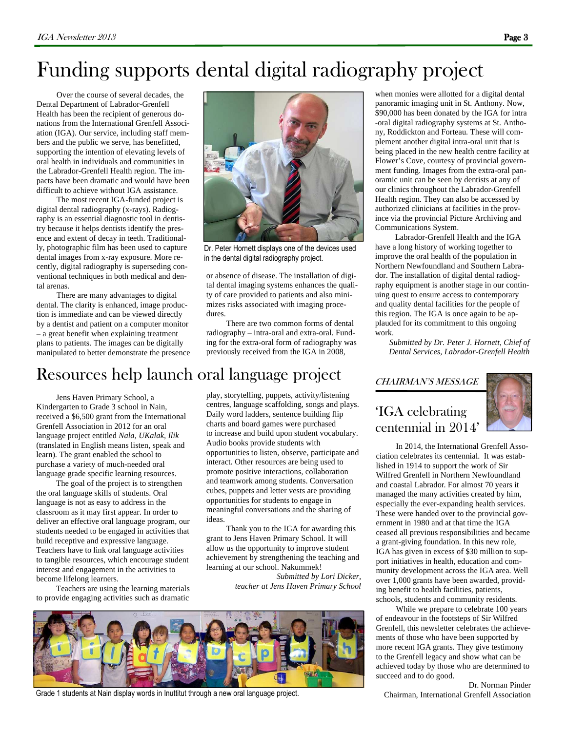# Funding supports dental digital radiography project

 Over the course of several decades, the Dental Department of Labrador-Grenfell Health has been the recipient of generous donations from the International Grenfell Association (IGA). Our service, including staff members and the public we serve, has benefitted, supporting the intention of elevating levels of oral health in individuals and communities in the Labrador-Grenfell Health region. The impacts have been dramatic and would have been difficult to achieve without IGA assistance.

 The most recent IGA-funded project is digital dental radiography (x-rays). Radiography is an essential diagnostic tool in dentistry because it helps dentists identify the presence and extent of decay in teeth. Traditionally, photographic film has been used to capture dental images from x-ray exposure. More recently, digital radiography is superseding conventional techniques in both medical and dental arenas.

 There are many advantages to digital dental. The clarity is enhanced, image production is immediate and can be viewed directly by a dentist and patient on a computer monitor – a great benefit when explaining treatment plans to patients. The images can be digitally manipulated to better demonstrate the presence



Dr. Peter Hornett displays one of the devices used in the dental digital radiography project.

or absence of disease. The installation of digital dental imaging systems enhances the quality of care provided to patients and also minimizes risks associated with imaging procedures.

 There are two common forms of dental radiography – intra-oral and extra-oral. Funding for the extra-oral form of radiography was previously received from the IGA in 2008,

### Resources help launch oral language project

Jens Haven Primary School, a Kindergarten to Grade 3 school in Nain, received a \$6,500 grant from the International Grenfell Association in 2012 for an oral language project entitled *Nala, UKalak, Ilik* (translated in English means listen, speak and learn). The grant enabled the school to purchase a variety of much-needed oral language grade specific learning resources.

 The goal of the project is to strengthen the oral language skills of students. Oral language is not as easy to address in the classroom as it may first appear. In order to deliver an effective oral language program, our students needed to be engaged in activities that build receptive and expressive language. Teachers have to link oral language activities to tangible resources, which encourage student interest and engagement in the activities to become lifelong learners.

 Teachers are using the learning materials to provide engaging activities such as dramatic

play, storytelling, puppets, activity/listening centres, language scaffolding, songs and plays. Daily word ladders, sentence building flip charts and board games were purchased to increase and build upon student vocabulary. Audio books provide students with opportunities to listen, observe, participate and interact. Other resources are being used to promote positive interactions, collaboration and teamwork among students. Conversation cubes, puppets and letter vests are providing opportunities for students to engage in meaningful conversations and the sharing of ideas.

 Thank you to the IGA for awarding this grant to Jens Haven Primary School. It will allow us the opportunity to improve student achievement by strengthening the teaching and learning at our school. Nakummek! *Submitted by Lori Dicker,* 

*teacher at Jens Haven Primary School* 



Grade 1 students at Nain display words in Inuttitut through a new oral language project.

when monies were allotted for a digital dental panoramic imaging unit in St. Anthony. Now, \$90,000 has been donated by the IGA for intra -oral digital radiography systems at St. Anthony, Roddickton and Forteau. These will complement another digital intra-oral unit that is being placed in the new health centre facility at Flower's Cove, courtesy of provincial government funding. Images from the extra-oral panoramic unit can be seen by dentists at any of our clinics throughout the Labrador-Grenfell Health region. They can also be accessed by authorized clinicians at facilities in the province via the provincial Picture Archiving and Communications System.

 Labrador-Grenfell Health and the IGA have a long history of working together to improve the oral health of the population in Northern Newfoundland and Southern Labrador. The installation of digital dental radiography equipment is another stage in our continuing quest to ensure access to contemporary and quality dental facilities for the people of this region. The IGA is once again to be applauded for its commitment to this ongoing work.

*Submitted by Dr. Peter J. Hornett, Chief of Dental Services, Labrador-Grenfell Health* 

#### CHAIRMAN'S MESSAGE

#### 'IGA celebrating centennial in 2014'

 In 2014, the International Grenfell Association celebrates its centennial. It was established in 1914 to support the work of Sir Wilfred Grenfell in Northern Newfoundland and coastal Labrador. For almost 70 years it managed the many activities created by him, especially the ever-expanding health services. These were handed over to the provincial government in 1980 and at that time the IGA ceased all previous responsibilities and became a grant-giving foundation. In this new role, IGA has given in excess of \$30 million to support initiatives in health, education and community development across the IGA area. Well over 1,000 grants have been awarded, providing benefit to health facilities, patients, schools, students and community residents.

 While we prepare to celebrate 100 years of endeavour in the footsteps of Sir Wilfred Grenfell, this newsletter celebrates the achievements of those who have been supported by more recent IGA grants. They give testimony to the Grenfell legacy and show what can be achieved today by those who are determined to succeed and to do good.

Dr. Norman Pinder Chairman, International Grenfell Association